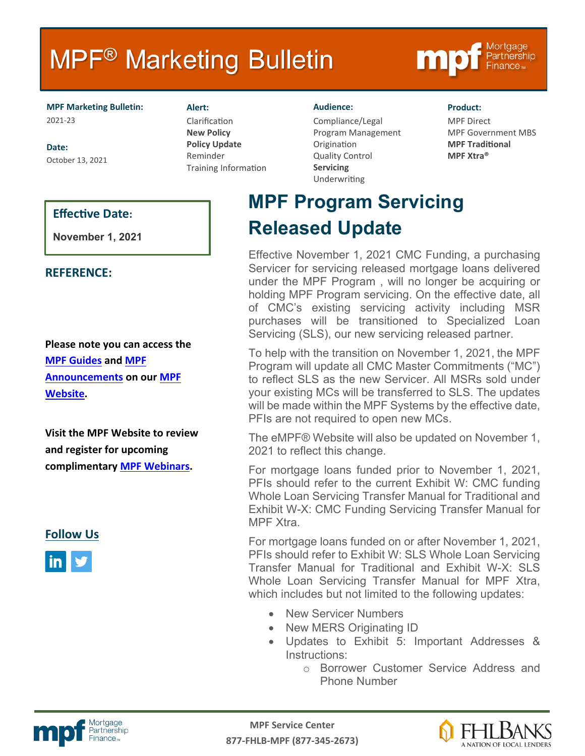# **MPF<sup>®</sup> Marketing Bulletin**



**MPF Marketing Bulletin:** 2021-23

**Date:** October 13, 2021 **Alert:** Clarification **New Policy Policy Update** Reminder Training Information

#### **Audience:**

Compliance/Legal Program Management Origination Quality Control **Servicing** Underwriting

#### **Product:**

MPF Direct MPF Government MBS **MPF Traditional MPF Xtra®**

## **Effective Date:**

**November 1, 2021**

### **REFERENCE:**

**Please note you can access the [MPF Guides](https://fhlbmpf.com/mpf-guides/guides) and [MPF](https://fhlbmpf.com/mpf-guides/announcements)  [Announcements](https://fhlbmpf.com/mpf-guides/announcements) on our [MPF](https://fhlbmpf.com/)  [Website.](https://fhlbmpf.com/)** 

**Visit the MPF Website to review and register for upcoming complimentary [MPF Webinars.](https://www.fhlbmpf.com/education/upcoming-webinars)**

**Follow Us**



**MPF Program Servicing Released Update**

Effective November 1, 2021 CMC Funding, a purchasing Servicer for servicing released mortgage loans delivered under the MPF Program , will no longer be acquiring or holding MPF Program servicing. On the effective date, all of CMC's existing servicing activity including MSR purchases will be transitioned to Specialized Loan Servicing (SLS), our new servicing released partner.

To help with the transition on November 1, 2021, the MPF Program will update all CMC Master Commitments ("MC") to reflect SLS as the new Servicer. All MSRs sold under your existing MCs will be transferred to SLS. The updates will be made within the MPF Systems by the effective date, PFIs are not required to open new MCs.

The eMPF® Website will also be updated on November 1, 2021 to reflect this change.

For mortgage loans funded prior to November 1, 2021, PFIs should refer to the current Exhibit W: CMC funding Whole Loan Servicing Transfer Manual for Traditional and Exhibit W-X: CMC Funding Servicing Transfer Manual for MPF Xtra.

For mortgage loans funded on or after November 1, 2021, PFIs should refer to Exhibit W: SLS Whole Loan Servicing Transfer Manual for Traditional and Exhibit W-X: SLS Whole Loan Servicing Transfer Manual for MPF Xtra, which includes but not limited to the following updates:

- New Servicer Numbers
- New MERS Originating ID
- Updates to Exhibit 5: Important Addresses & Instructions:
	- o Borrower Customer Service Address and Phone Number